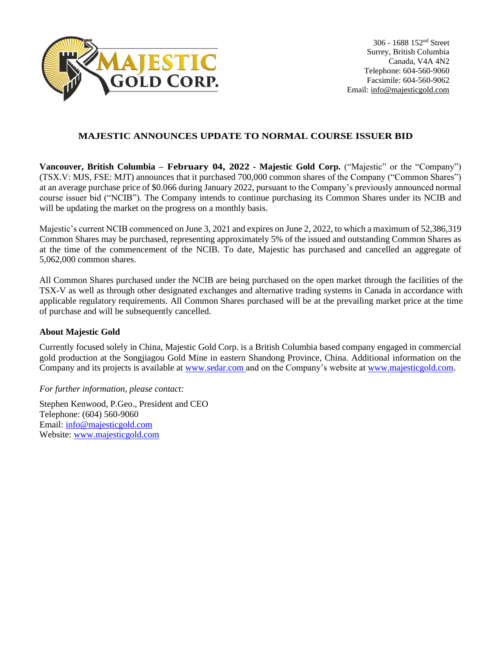

## **MAJESTIC ANNOUNCES UPDATE TO NORMAL COURSE ISSUER BID**

**Vancouver, British Columbia – February 04, 2022 - Majestic Gold Corp.** ("Majestic" or the "Company") (TSX.V: MJS, FSE: MJT) announces that it purchased 700,000 common shares of the Company ("Common Shares") at an average purchase price of \$0.066 during January 2022, pursuant to the Company's previously announced normal course issuer bid ("NCIB"). The Company intends to continue purchasing its Common Shares under its NCIB and will be updating the market on the progress on a monthly basis.

Majestic's current NCIB commenced on June 3, 2021 and expires on June 2, 2022, to which a maximum of 52,386,319 Common Shares may be purchased, representing approximately 5% of the issued and outstanding Common Shares as at the time of the commencement of the NCIB. To date, Majestic has purchased and cancelled an aggregate of 5,062,000 common shares.

All Common Shares purchased under the NCIB are being purchased on the open market through the facilities of the TSX-V as well as through other designated exchanges and alternative trading systems in Canada in accordance with applicable regulatory requirements. All Common Shares purchased will be at the prevailing market price at the time of purchase and will be subsequently cancelled.

## **About Majestic Gold**

Currently focused solely in China, Majestic Gold Corp. is a British Columbia based company engaged in commercial gold production at the Songjiagou Gold Mine in eastern Shandong Province, China. Additional information on the Company and its projects is available at [www.sedar.com](http://www.sedar.com/) and on the Company's website at [www.majesticgold.com.](http://www.majesticgold.com/)

*For further information, please contact:*

Stephen Kenwood, P.Geo., President and CEO Telephone: (604) 560-9060 Email: [info@majesticgold.com](mailto:info@majesticgold.com) Website: [www.majesticgold.com](http://www.majesticgold.com/)